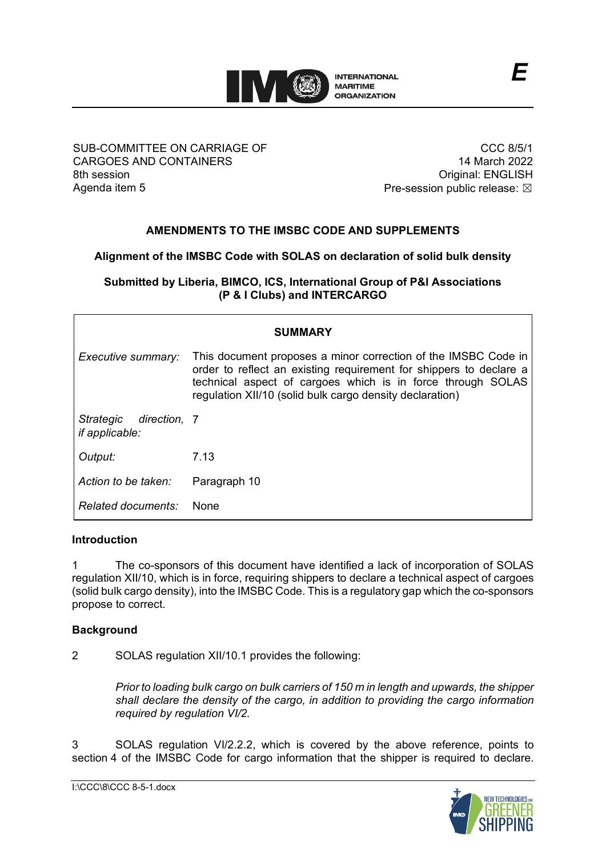

SUB-COMMITTEE ON CARRIAGE OF CARGOES AND CONTAINERS 8th session Agenda item 5

CCC 8/5/1 14 March 2022 Original: ENGLISH Pre-session public release:  $\boxtimes$ 

# **AMENDMENTS TO THE IMSBC CODE AND SUPPLEMENTS**

# **Alignment of the IMSBC Code with SOLAS on declaration of solid bulk density**

**Submitted by Liberia, BIMCO, ICS, International Group of P&I Associations (P & I Clubs) and INTERCARGO**

| <b>SUMMARY</b>                                     |                                                                                                                                                                                                                                                                 |  |
|----------------------------------------------------|-----------------------------------------------------------------------------------------------------------------------------------------------------------------------------------------------------------------------------------------------------------------|--|
| Executive summary:                                 | This document proposes a minor correction of the IMSBC Code in<br>order to reflect an existing requirement for shippers to declare a<br>technical aspect of cargoes which is in force through SOLAS<br>regulation XII/10 (solid bulk cargo density declaration) |  |
| Strategic<br>direction, 7<br><i>if applicable:</i> |                                                                                                                                                                                                                                                                 |  |
| Output:                                            | 7.13                                                                                                                                                                                                                                                            |  |
| Action to be taken:                                | Paragraph 10                                                                                                                                                                                                                                                    |  |
| Related documents:                                 | None                                                                                                                                                                                                                                                            |  |

### **Introduction**

1 The co-sponsors of this document have identified a lack of incorporation of SOLAS regulation XII/10, which is in force, requiring shippers to declare a technical aspect of cargoes (solid bulk cargo density), into the IMSBC Code. This is a regulatory gap which the co-sponsors propose to correct.

### **Background**

2 SOLAS regulation XII/10.1 provides the following:

*Prior to loading bulk cargo on bulk carriers of 150 m in length and upwards, the shipper shall declare the density of the cargo, in addition to providing the cargo information required by regulation VI/2.*

3 SOLAS regulation VI/2.2.2, which is covered by the above reference, points to section 4 of the IMSBC Code for cargo information that the shipper is required to declare.

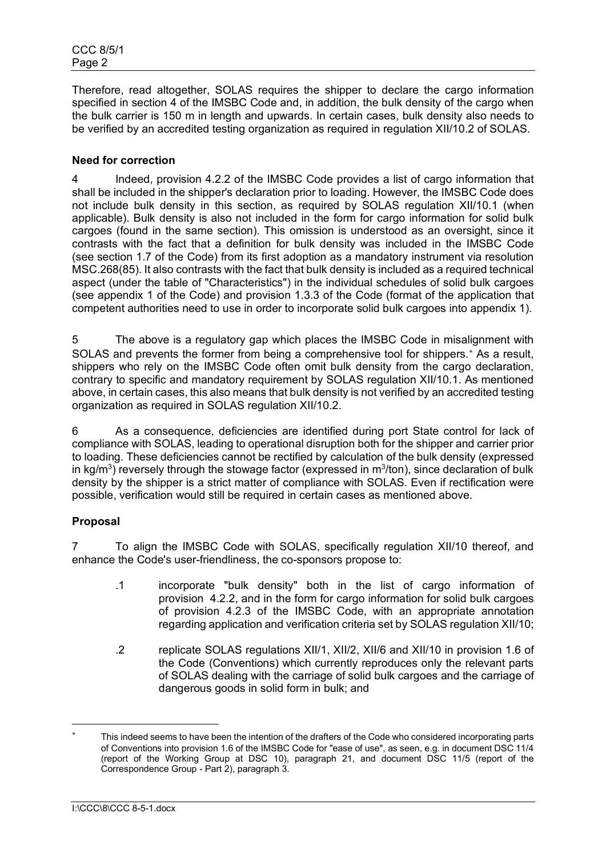Therefore, read altogether, SOLAS requires the shipper to declare the cargo information specified in section 4 of the IMSBC Code and, in addition, the bulk density of the cargo when the bulk carrier is 150 m in length and upwards. In certain cases, bulk density also needs to be verified by an accredited testing organization as required in regulation XII/10.2 of SOLAS.

## **Need for correction**

4 Indeed, provision 4.2.2 of the IMSBC Code provides a list of cargo information that shall be included in the shipper's declaration prior to loading. However, the IMSBC Code does not include bulk density in this section, as required by SOLAS regulation XII/10.1 (when applicable). Bulk density is also not included in the form for cargo information for solid bulk cargoes (found in the same section). This omission is understood as an oversight, since it contrasts with the fact that a definition for bulk density was included in the IMSBC Code (see section 1.7 of the Code) from its first adoption as a mandatory instrument via resolution MSC.268(85). It also contrasts with the fact that bulk density is included as a required technical aspect (under the table of "Characteristics") in the individual schedules of solid bulk cargoes (see appendix 1 of the Code) and provision 1.3.3 of the Code (format of the application that competent authorities need to use in order to incorporate solid bulk cargoes into appendix 1).

5 The above is a regulatory gap which places the IMSBC Code in misalignment with SOLAS and prevents the former from being a comprehensive tool for shippers.<sup>\*</sup> As a result, shippers who rely on the IMSBC Code often omit bulk density from the cargo declaration, contrary to specific and mandatory requirement by SOLAS regulation XII/10.1. As mentioned above, in certain cases, this also means that bulk density is not verified by an accredited testing organization as required in SOLAS regulation XII/10.2.

6 As a consequence, deficiencies are identified during port State control for lack of compliance with SOLAS, leading to operational disruption both for the shipper and carrier prior to loading. These deficiencies cannot be rectified by calculation of the bulk density (expressed in kg/m<sup>3</sup>) reversely through the stowage factor (expressed in m<sup>3</sup>/ton), since declaration of bulk density by the shipper is a strict matter of compliance with SOLAS. Even if rectification were possible, verification would still be required in certain cases as mentioned above.

# **Proposal**

7 To align the IMSBC Code with SOLAS, specifically regulation XII/10 thereof, and enhance the Codeʹs user-friendliness, the co-sponsors propose to:

- .1 incorporate "bulk density" both in the list of cargo information of provision 4.2.2, and in the form for cargo information for solid bulk cargoes of provision 4.2.3 of the IMSBC Code, with an appropriate annotation regarding application and verification criteria set by SOLAS regulation XII/10;
- .2 replicate SOLAS regulations XII/1, XII/2, XII/6 and XII/10 in provision 1.6 of the Code (Conventions) which currently reproduces only the relevant parts of SOLAS dealing with the carriage of solid bulk cargoes and the carriage of dangerous goods in solid form in bulk; and

<span id="page-1-0"></span>This indeed seems to have been the intention of the drafters of the Code who considered incorporating parts of Conventions into provision 1.6 of the IMSBC Code for "ease of use", as seen, e.g. in document DSC 11/4 (report of the Working Group at DSC 10), paragraph 21, and document DSC 11/5 (report of the Correspondence Group - Part 2), paragraph 3.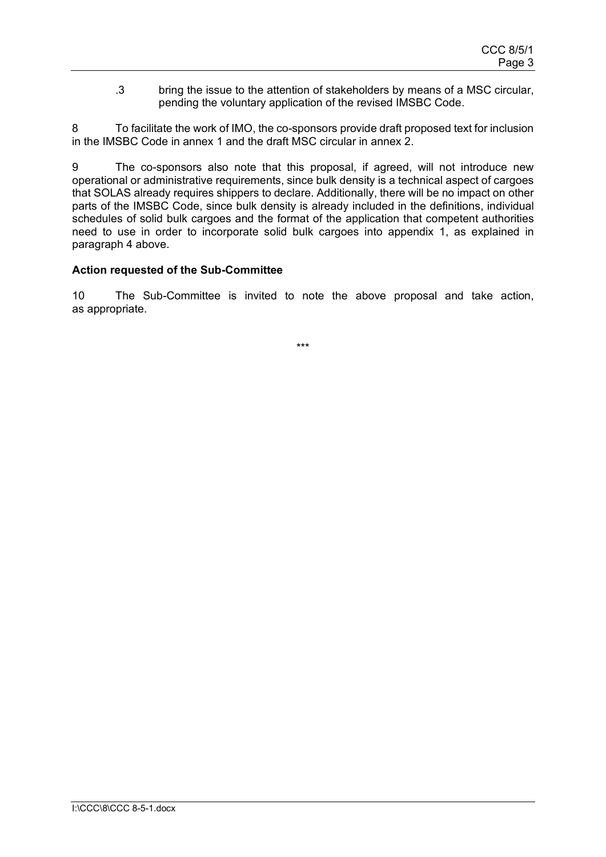.3 bring the issue to the attention of stakeholders by means of a MSC circular, pending the voluntary application of the revised IMSBC Code.

8 To facilitate the work of IMO, the co-sponsors provide draft proposed text for inclusion in the IMSBC Code in annex 1 and the draft MSC circular in annex 2.

9 The co-sponsors also note that this proposal, if agreed, will not introduce new operational or administrative requirements, since bulk density is a technical aspect of cargoes that SOLAS already requires shippers to declare. Additionally, there will be no impact on other parts of the IMSBC Code, since bulk density is already included in the definitions, individual schedules of solid bulk cargoes and the format of the application that competent authorities need to use in order to incorporate solid bulk cargoes into appendix 1, as explained in paragraph 4 above.

### **Action requested of the Sub-Committee**

10 The Sub-Committee is invited to note the above proposal and take action, as appropriate.

\*\*\*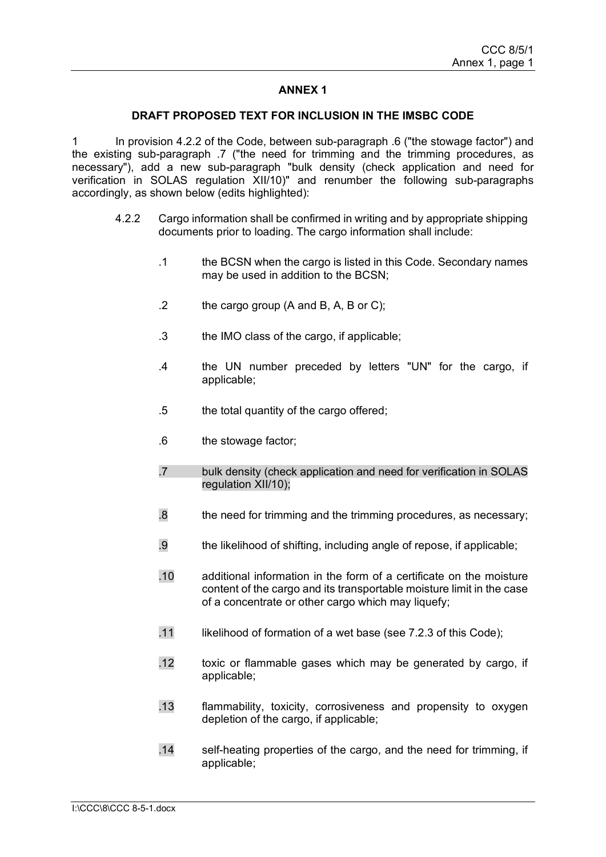## **ANNEX 1**

#### **DRAFT PROPOSED TEXT FOR INCLUSION IN THE IMSBC CODE**

1 In provision 4.2.2 of the Code, between sub-paragraph .6 ("the stowage factor") and the existing sub-paragraph .7 ("the need for trimming and the trimming procedures. as necessary"), add a new sub-paragraph "bulk density (check application and need for verification in SOLAS regulation XII/10)" and renumber the following sub-paragraphs accordingly, as shown below (edits highlighted):

- 4.2.2 Cargo information shall be confirmed in writing and by appropriate shipping documents prior to loading. The cargo information shall include:
	- .1 the BCSN when the cargo is listed in this Code. Secondary names may be used in addition to the BCSN;
	- .2 the cargo group (A and B, A, B or C);
	- .3 the IMO class of the cargo, if applicable;
	- .4 the UN number preceded by letters "UN" for the cargo, if applicable;
	- .5 the total quantity of the cargo offered;
	- .6 the stowage factor;
	- .7 bulk density (check application and need for verification in SOLAS regulation XII/10);
	- .8 the need for trimming and the trimming procedures, as necessary;
	- .9 the likelihood of shifting, including angle of repose, if applicable;
	- .10 additional information in the form of a certificate on the moisture content of the cargo and its transportable moisture limit in the case of a concentrate or other cargo which may liquefy;
	- .11 likelihood of formation of a wet base (see 7.2.3 of this Code);
	- .12 toxic or flammable gases which may be generated by cargo, if applicable;
	- .13 flammability, toxicity, corrosiveness and propensity to oxygen depletion of the cargo, if applicable;
	- .14 self-heating properties of the cargo, and the need for trimming, if applicable;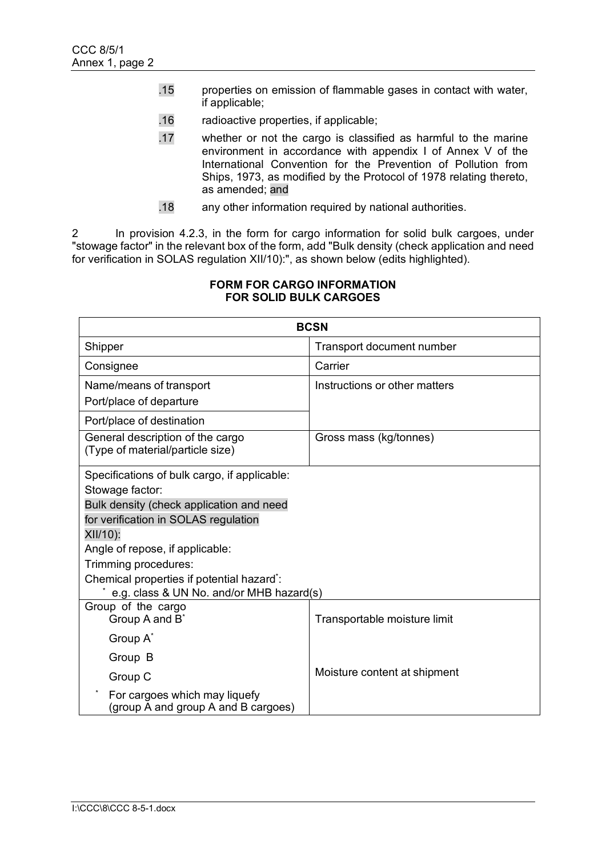- .15 properties on emission of flammable gases in contact with water, if applicable;
- .16 radioactive properties, if applicable;
- .17 whether or not the cargo is classified as harmful to the marine environment in accordance with appendix I of Annex V of the International Convention for the Prevention of Pollution from Ships, 1973, as modified by the Protocol of 1978 relating thereto, as amended; and
- .18 any other information required by national authorities.

2 In provision 4.2.3, in the form for cargo information for solid bulk cargoes, under "stowage factor" in the relevant box of the form, add "Bulk density (check application and need for verification in SOLAS regulation XII/10):", as shown below (edits highlighted).

| <b>BCSN</b>                                                          |                                  |  |  |  |
|----------------------------------------------------------------------|----------------------------------|--|--|--|
| Shipper                                                              | <b>Transport document number</b> |  |  |  |
| Consignee                                                            | Carrier                          |  |  |  |
| Name/means of transport                                              | Instructions or other matters    |  |  |  |
| Port/place of departure                                              |                                  |  |  |  |
| Port/place of destination                                            |                                  |  |  |  |
| General description of the cargo<br>(Type of material/particle size) | Gross mass (kg/tonnes)           |  |  |  |
| Specifications of bulk cargo, if applicable:                         |                                  |  |  |  |
| Stowage factor:                                                      |                                  |  |  |  |
| Bulk density (check application and need                             |                                  |  |  |  |
| for verification in SOLAS regulation                                 |                                  |  |  |  |
| XII/10):                                                             |                                  |  |  |  |
| Angle of repose, if applicable:                                      |                                  |  |  |  |
| Trimming procedures:                                                 |                                  |  |  |  |
| Chemical properties if potential hazard*:                            |                                  |  |  |  |
| e.g. class & UN No. and/or MHB hazard(s)<br>Group of the cargo       |                                  |  |  |  |
| Group A and B <sup>*</sup>                                           | Transportable moisture limit     |  |  |  |
| Group A*                                                             |                                  |  |  |  |
| Group B                                                              |                                  |  |  |  |
| Group C                                                              | Moisture content at shipment     |  |  |  |
| For cargoes which may liquefy<br>(group A and group A and B cargoes) |                                  |  |  |  |

#### **FORM FOR CARGO INFORMATION FOR SOLID BULK CARGOES**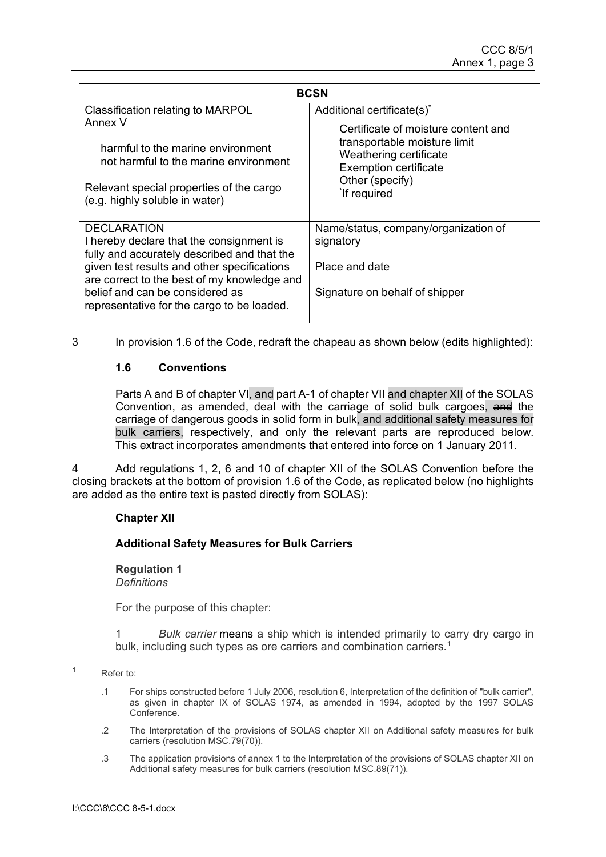| <b>BCSN</b>                                                                                                                  |                                                        |  |  |
|------------------------------------------------------------------------------------------------------------------------------|--------------------------------------------------------|--|--|
| Classification relating to MARPOL                                                                                            | Additional certificate(s)*                             |  |  |
| Annex V                                                                                                                      | Certificate of moisture content and                    |  |  |
| harmful to the marine environment<br>not harmful to the marine environment                                                   | transportable moisture limit<br>Weathering certificate |  |  |
|                                                                                                                              | <b>Exemption certificate</b><br>Other (specify)        |  |  |
| Relevant special properties of the cargo<br>(e.g. highly soluble in water)                                                   | <sup>*</sup> If required                               |  |  |
| <b>DECLARATION</b>                                                                                                           | Name/status, company/organization of                   |  |  |
| I hereby declare that the consignment is<br>fully and accurately described and that the                                      | signatory                                              |  |  |
| given test results and other specifications                                                                                  | Place and date                                         |  |  |
| are correct to the best of my knowledge and<br>belief and can be considered as<br>representative for the cargo to be loaded. | Signature on behalf of shipper                         |  |  |

3 In provision 1.6 of the Code, redraft the chapeau as shown below (edits highlighted):

# **1.6 Conventions**

Parts A and B of chapter VI, and part A-1 of chapter VII and chapter XII of the SOLAS Convention, as amended, deal with the carriage of solid bulk cargoes, and the carriage of dangerous goods in solid form in bulk, and additional safety measures for bulk carriers, respectively, and only the relevant parts are reproduced below. This extract incorporates amendments that entered into force on 1 January 2011.

4 Add regulations 1, 2, 6 and 10 of chapter XII of the SOLAS Convention before the closing brackets at the bottom of provision 1.6 of the Code, as replicated below (no highlights are added as the entire text is pasted directly from SOLAS):

### **Chapter XII**

# **Additional Safety Measures for Bulk Carriers**

**Regulation 1** *Definitions*

For the purpose of this chapter:

Bulk carrier means a ship which is intended primarily to carry dry cargo in bulk, including such types as ore carriers and combination carriers. $^{\textrm{\text{\tiny{1}}}}$  $^{\textrm{\text{\tiny{1}}}}$  $^{\textrm{\text{\tiny{1}}}}$ 

- .2 The Interpretation of the provisions of SOLAS chapter XII on Additional safety measures for bulk carriers (resolution MSC.79(70)).
- .3 The application provisions of annex 1 to the Interpretation of the provisions of SOLAS chapter XII on Additional safety measures for bulk carriers (resolution MSC.89(71)).

<span id="page-6-0"></span><sup>1</sup> Refer to:

<sup>.1</sup> For ships constructed before 1 July 2006, resolution 6, Interpretation of the definition of "bulk carrier", as given in chapter IX of SOLAS 1974, as amended in 1994, adopted by the 1997 SOLAS Conference.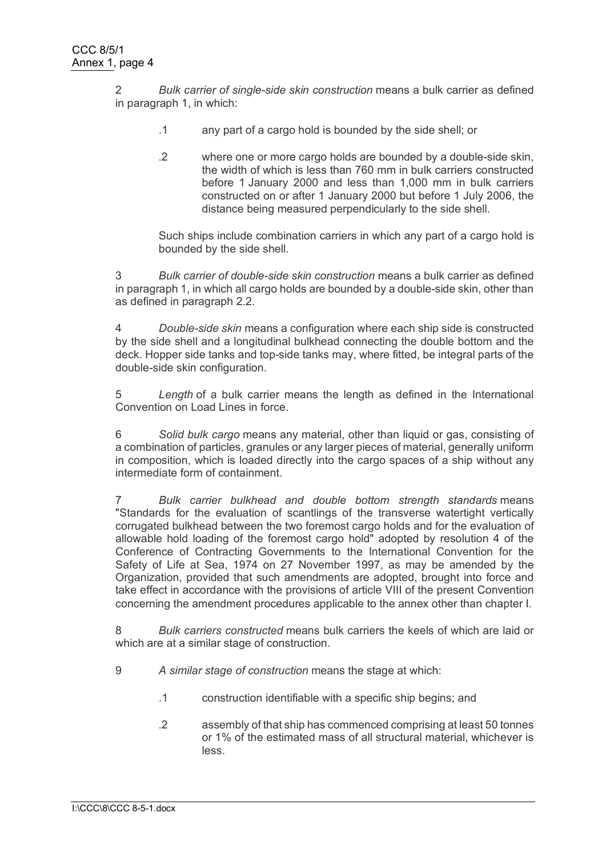2 *Bulk carrier of single-side skin construction* means a bulk carrier as defined in paragraph 1, in which:

- .1 any part of a cargo hold is bounded by the side shell; or
- .2 where one or more cargo holds are bounded by a double-side skin, the width of which is less than 760 mm in bulk carriers constructed before 1 January 2000 and less than 1,000 mm in bulk carriers constructed on or after 1 January 2000 but before 1 July 2006, the distance being measured perpendicularly to the side shell.

Such ships include combination carriers in which any part of a cargo hold is bounded by the side shell.

3 *Bulk carrier of double-side skin construction* means a bulk carrier as defined in paragraph 1, in which all cargo holds are bounded by a double-side skin, other than as defined in paragraph 2.2.

4 *Double-side skin* means a configuration where each ship side is constructed by the side shell and a longitudinal bulkhead connecting the double bottom and the deck. Hopper side tanks and top-side tanks may, where fitted, be integral parts of the double-side skin configuration.

5 *Length* of a bulk carrier means the length as defined in the International Convention on Load Lines in force.

6 *Solid bulk cargo* means any material, other than liquid or gas, consisting of a combination of particles, granules or any larger pieces of material, generally uniform in composition, which is loaded directly into the cargo spaces of a ship without any intermediate form of containment.

7 *Bulk carrier bulkhead and double bottom strength standards* means "Standards for the evaluation of scantlings of the transverse watertight vertically corrugated bulkhead between the two foremost cargo holds and for the evaluation of allowable hold loading of the foremost cargo hold" adopted by resolution 4 of the Conference of Contracting Governments to the International Convention for the Safety of Life at Sea, 1974 on 27 November 1997, as may be amended by the Organization, provided that such amendments are adopted, brought into force and take effect in accordance with the provisions of article VIII of the present Convention concerning the amendment procedures applicable to the annex other than chapter I.

8 *Bulk carriers constructed* means bulk carriers the keels of which are laid or which are at a similar stage of construction.

- 9 *A similar stage of construction* means the stage at which:
	- .1 construction identifiable with a specific ship begins; and
	- .2 assembly of that ship has commenced comprising at least 50 tonnes or 1% of the estimated mass of all structural material, whichever is less.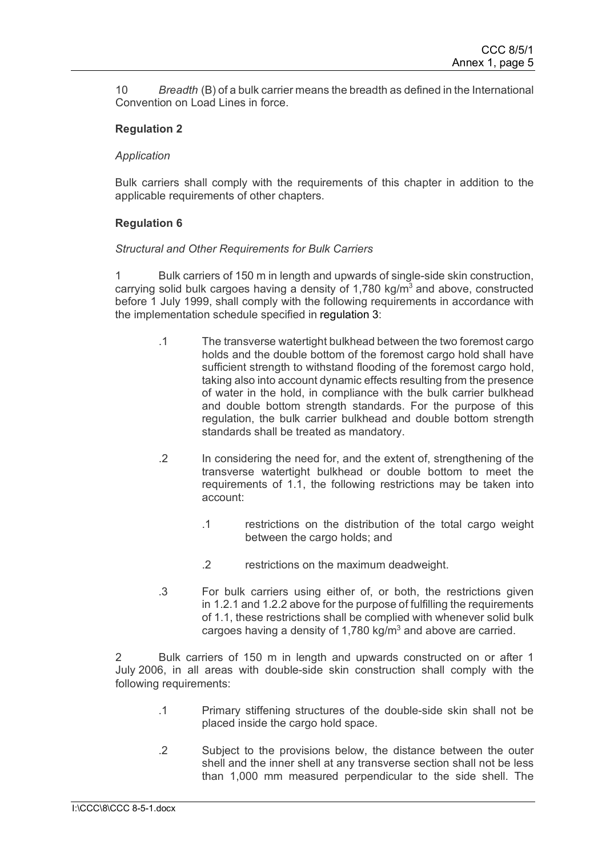10 *Breadth* (B) of a bulk carrier means the breadth as defined in the International Convention on Load Lines in force.

### **Regulation 2**

#### *Application*

Bulk carriers shall comply with the requirements of this chapter in addition to the applicable requirements of other chapters.

### **Regulation 6**

#### *Structural and Other Requirements for Bulk Carriers*

1 Bulk carriers of 150 m in length and upwards of single-side skin construction, carrying solid bulk cargoes having a density of 1,780 kg/ $m<sup>3</sup>$  and above, constructed before 1 July 1999, shall comply with the following requirements in accordance with the implementation schedule specified in [regulation 3:](http://www.regs4ships.com/docs/international/imo/solas/chp_12/03.cfm)

- .1 The transverse watertight bulkhead between the two foremost cargo holds and the double bottom of the foremost cargo hold shall have sufficient strength to withstand flooding of the foremost cargo hold, taking also into account dynamic effects resulting from the presence of water in the hold, in compliance with the bulk carrier bulkhead and double bottom strength standards. For the purpose of this regulation, the bulk carrier bulkhead and double bottom strength standards shall be treated as mandatory.
- .2 In considering the need for, and the extent of, strengthening of the transverse watertight bulkhead or double bottom to meet the requirements of 1.1, the following restrictions may be taken into account:
	- .1 restrictions on the distribution of the total cargo weight between the cargo holds; and
	- .2 restrictions on the maximum deadweight.
- .3 For bulk carriers using either of, or both, the restrictions given in 1.2.1 and 1.2.2 above for the purpose of fulfilling the requirements of 1.1, these restrictions shall be complied with whenever solid bulk cargoes having a density of 1,780 kg/ $m<sup>3</sup>$  and above are carried.

2 Bulk carriers of 150 m in length and upwards constructed on or after 1 July 2006, in all areas with double-side skin construction shall comply with the following requirements:

- .1 Primary stiffening structures of the double-side skin shall not be placed inside the cargo hold space.
- .2 Subject to the provisions below, the distance between the outer shell and the inner shell at any transverse section shall not be less than 1,000 mm measured perpendicular to the side shell. The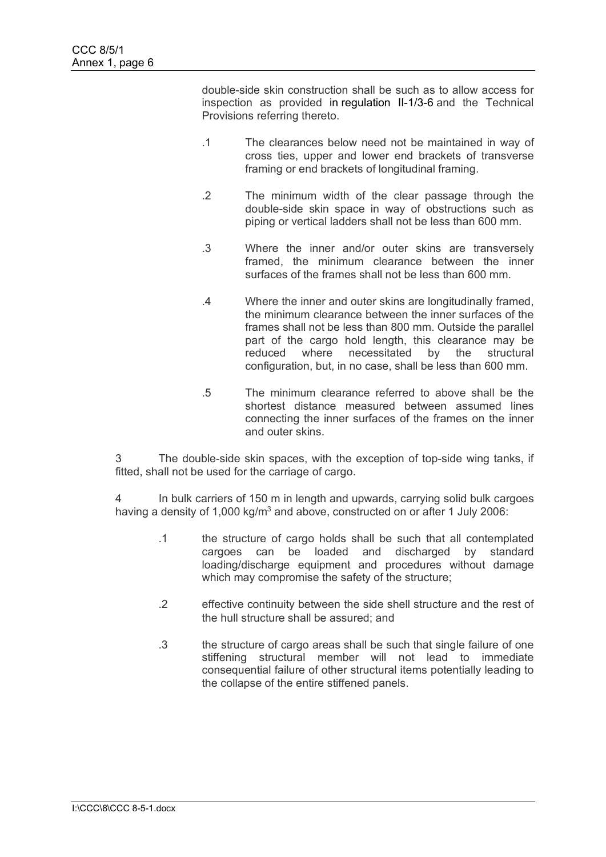double-side skin construction shall be such as to allow access for inspection as provided in [regulation II-1/3-6](http://www.regs4ships.com/docs/international/imo/solas/chp_02_01/03_06.cfm) and the Technical Provisions referring thereto.

- .1 The clearances below need not be maintained in way of cross ties, upper and lower end brackets of transverse framing or end brackets of longitudinal framing.
- .2 The minimum width of the clear passage through the double-side skin space in way of obstructions such as piping or vertical ladders shall not be less than 600 mm.
- .3 Where the inner and/or outer skins are transversely framed, the minimum clearance between the inner surfaces of the frames shall not be less than 600 mm.
- .4 Where the inner and outer skins are longitudinally framed, the minimum clearance between the inner surfaces of the frames shall not be less than 800 mm. Outside the parallel part of the cargo hold length, this clearance may be reduced where necessitated by the structural configuration, but, in no case, shall be less than 600 mm.
- .5 The minimum clearance referred to above shall be the shortest distance measured between assumed lines connecting the inner surfaces of the frames on the inner and outer skins.

3 The double-side skin spaces, with the exception of top-side wing tanks, if fitted, shall not be used for the carriage of cargo.

4 In bulk carriers of 150 m in length and upwards, carrying solid bulk cargoes having a density of 1,000 kg/ $m<sup>3</sup>$  and above, constructed on or after 1 July 2006:

- .1 the structure of cargo holds shall be such that all contemplated cargoes can be loaded and discharged by standard loading/discharge equipment and procedures without damage which may compromise the safety of the structure;
- .2 effective continuity between the side shell structure and the rest of the hull structure shall be assured; and
- .3 the structure of cargo areas shall be such that single failure of one stiffening structural member will not lead to immediate consequential failure of other structural items potentially leading to the collapse of the entire stiffened panels.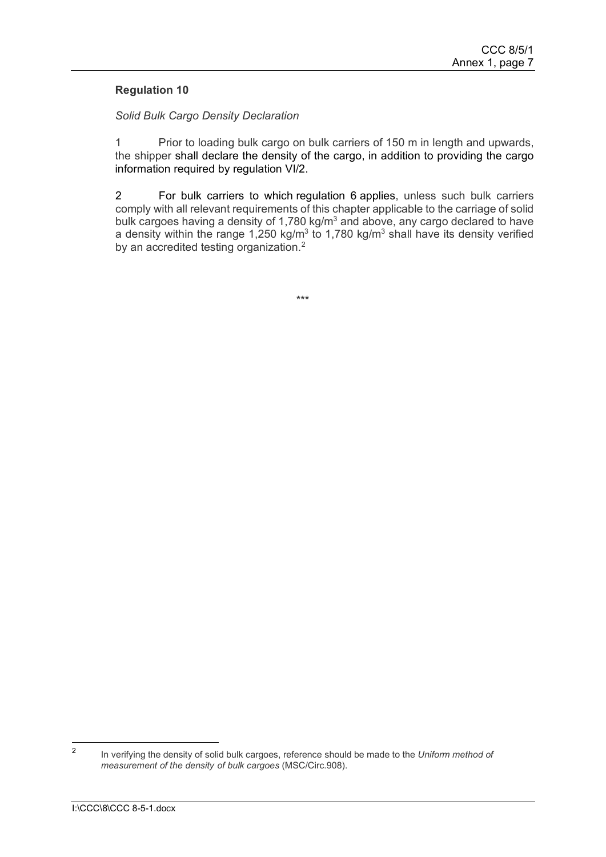## **Regulation 10**

#### *Solid Bulk Cargo Density Declaration*

1 Prior to loading bulk cargo on bulk carriers of 150 m in length and upwards, the shipper shall declare the density of the cargo, in addition to providing the cargo information required by [regulation VI/2.](http://www.regs4ships.com/docs/international/imo/solas/chp_06/02.cfm)

2 For bulk carriers to which [regulation 6](http://www.regs4ships.com/docs/international/imo/solas/chp_12/06.cfm) applies, unless such bulk carriers comply with all relevant requirements of this chapter applicable to the carriage of solid bulk cargoes having a density of 1,780 kg/ $m<sup>3</sup>$  and above, any cargo declared to have a density within the range  $1,250 \text{ kg/m}^3$  to  $1,780 \text{ kg/m}^3$  shall have its density verified by an accredited testing organization.<sup>[2](#page-10-0)</sup>

\*\*\*

<span id="page-10-0"></span><sup>2</sup> In verifying the density of solid bulk cargoes, reference should be made to the *Uniform method of measurement of the density of bulk cargoes* (MSC/Circ.908).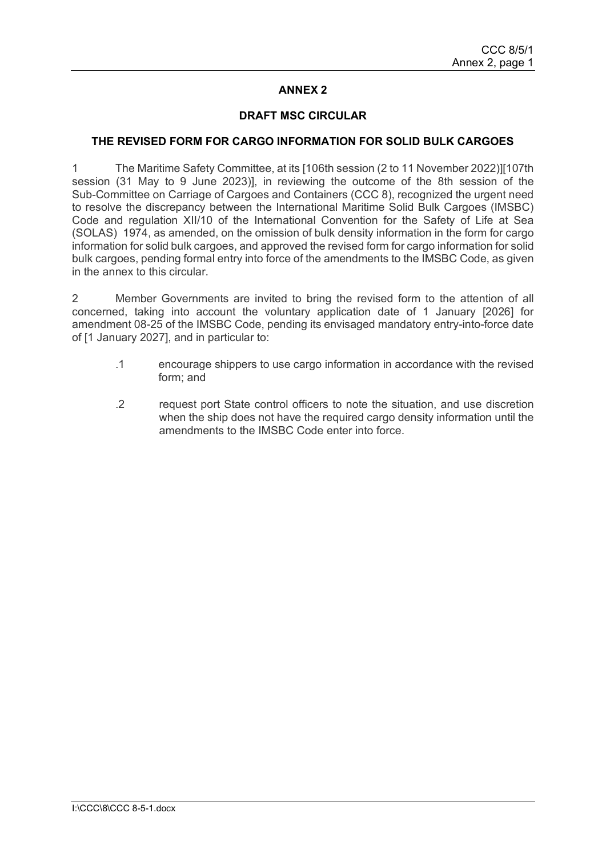# **ANNEX 2**

#### **DRAFT MSC CIRCULAR**

#### **THE REVISED FORM FOR CARGO INFORMATION FOR SOLID BULK CARGOES**

1 The Maritime Safety Committee, at its [106th session (2 to 11 November 2022)][107th session (31 May to 9 June 2023)], in reviewing the outcome of the 8th session of the Sub-Committee on Carriage of Cargoes and Containers (CCC 8), recognized the urgent need to resolve the discrepancy between the International Maritime Solid Bulk Cargoes (IMSBC) Code and regulation XII/10 of the International Convention for the Safety of Life at Sea (SOLAS) 1974, as amended, on the omission of bulk density information in the form for cargo information for solid bulk cargoes, and approved the revised form for cargo information for solid bulk cargoes, pending formal entry into force of the amendments to the IMSBC Code, as given in the annex to this circular.

2 Member Governments are invited to bring the revised form to the attention of all concerned, taking into account the voluntary application date of 1 January [2026] for amendment 08-25 of the IMSBC Code, pending its envisaged mandatory entry-into-force date of [1 January 2027], and in particular to:

- .1 encourage shippers to use cargo information in accordance with the revised form; and
- .2 request port State control officers to note the situation, and use discretion when the ship does not have the required cargo density information until the amendments to the IMSBC Code enter into force.